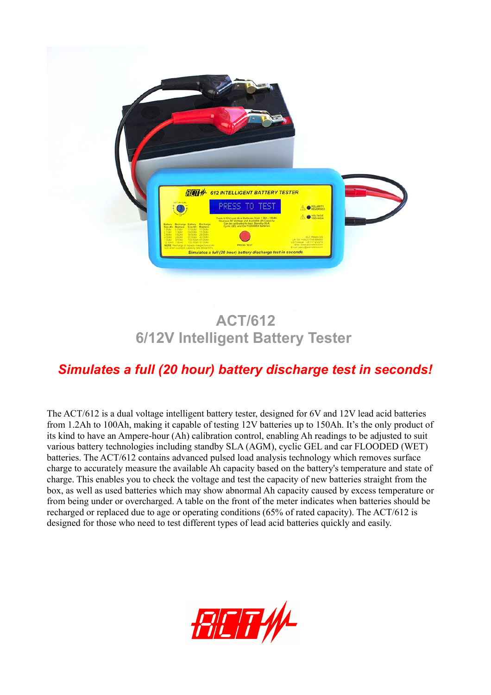

## **ACT/612 6/12V Intelligent Battery Tester**

## *Simulates a full (20 hour) battery discharge test in seconds!*

The ACT/612 is a dual voltage intelligent battery tester, designed for 6V and 12V lead acid batteries from 1.2Ah to 100Ah, making it capable of testing 12V batteries up to 150Ah. It's the only product of its kind to have an Ampere-hour (Ah) calibration control, enabling Ah readings to be adjusted to suit various battery technologies including standby SLA (AGM), cyclic GEL and car FLOODED (WET) batteries. The ACT/612 contains advanced pulsed load analysis technology which removes surface charge to accurately measure the available Ah capacity based on the battery's temperature and state of charge. This enables you to check the voltage and test the capacity of new batteries straight from the box, as well as used batteries which may show abnormal Ah capacity caused by excess temperature or from being under or overcharged. A table on the front of the meter indicates when batteries should be recharged or replaced due to age or operating conditions (65% of rated capacity). The ACT/612 is designed for those who need to test different types of lead acid batteries quickly and easily.